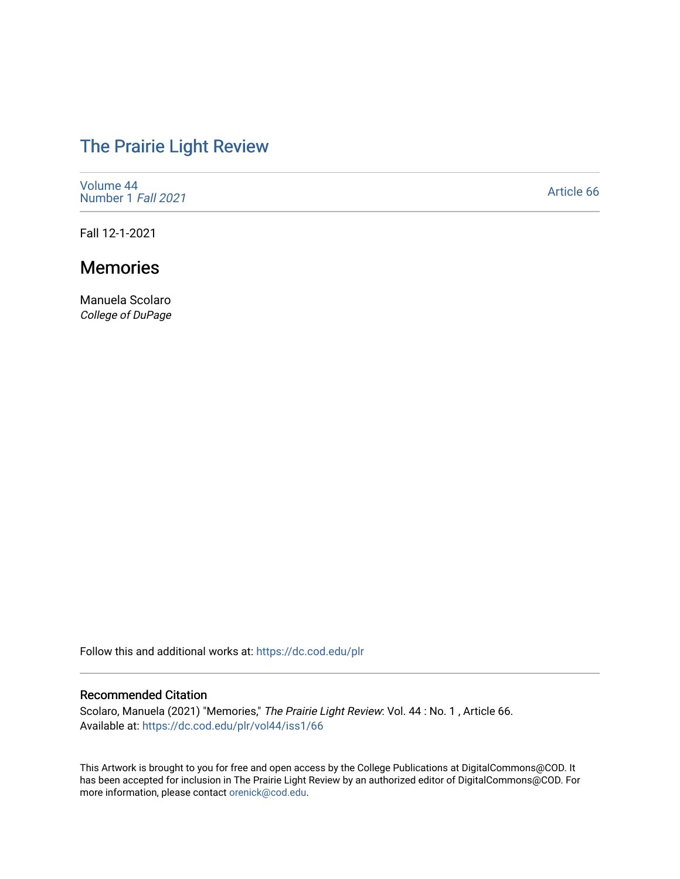# [The Prairie Light Review](https://dc.cod.edu/plr)

[Volume 44](https://dc.cod.edu/plr/vol44) [Number 1](https://dc.cod.edu/plr/vol44/iss1) Fall 2021

[Article 66](https://dc.cod.edu/plr/vol44/iss1/66) 

Fall 12-1-2021

## Memories

Manuela Scolaro College of DuPage

Follow this and additional works at: [https://dc.cod.edu/plr](https://dc.cod.edu/plr?utm_source=dc.cod.edu%2Fplr%2Fvol44%2Fiss1%2F66&utm_medium=PDF&utm_campaign=PDFCoverPages) 

#### Recommended Citation

Scolaro, Manuela (2021) "Memories," The Prairie Light Review: Vol. 44 : No. 1 , Article 66. Available at: [https://dc.cod.edu/plr/vol44/iss1/66](https://dc.cod.edu/plr/vol44/iss1/66?utm_source=dc.cod.edu%2Fplr%2Fvol44%2Fiss1%2F66&utm_medium=PDF&utm_campaign=PDFCoverPages)

This Artwork is brought to you for free and open access by the College Publications at DigitalCommons@COD. It has been accepted for inclusion in The Prairie Light Review by an authorized editor of DigitalCommons@COD. For more information, please contact [orenick@cod.edu.](mailto:orenick@cod.edu)